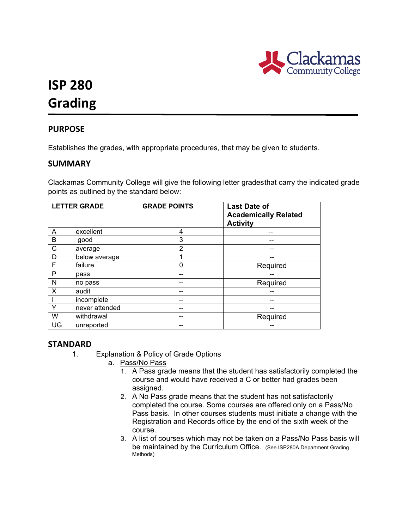

# **ISP 280 Grading**

## **PURPOSE**

Establishes the grades, with appropriate procedures, that may be given to students.

### **SUMMARY**

Clackamas Community College will give the following letter gradesthat carry the indicated grade points as outlined by the standard below:

|    | <b>LETTER GRADE</b> | <b>GRADE POINTS</b> | <b>Last Date of</b><br><b>Academically Related</b><br><b>Activity</b> |
|----|---------------------|---------------------|-----------------------------------------------------------------------|
| A  | excellent           | 4                   |                                                                       |
| B  | good                | 3                   |                                                                       |
| C  | average             | $\overline{2}$      |                                                                       |
| D  | below average       |                     |                                                                       |
| F  | failure             | 0                   | Required                                                              |
| P  | pass                |                     |                                                                       |
| N  | no pass             | --                  | Required                                                              |
| X  | audit               |                     |                                                                       |
|    | incomplete          | --                  | --                                                                    |
| Υ  | never attended      |                     |                                                                       |
| W  | withdrawal          |                     | Required                                                              |
| UG | unreported          |                     |                                                                       |

#### **STANDARD**

- 1. Explanation & Policy of Grade Options
	- a. Pass/No Pass
		- 1. A Pass grade means that the student has satisfactorily completed the course and would have received a C or better had grades been assigned.
		- 2. A No Pass grade means that the student has not satisfactorily completed the course. Some courses are offered only on a Pass/No Pass basis. In other courses students must initiate a change with the Registration and Records office by the end of the sixth week of the course.
		- 3. A list of courses which may not be taken on a Pass/No Pass basis will be maintained by the Curriculum Office. (See ISP280A Department Grading Methods)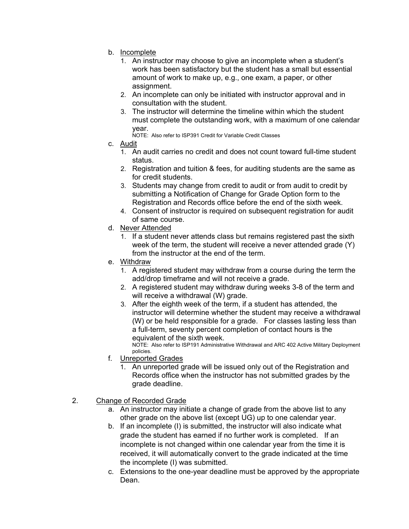- b. Incomplete
	- 1. An instructor may choose to give an incomplete when a student's work has been satisfactory but the student has a small but essential amount of work to make up, e.g., one exam, a paper, or other assignment.
	- 2. An incomplete can only be initiated with instructor approval and in consultation with the student.
	- 3. The instructor will determine the timeline within which the student must complete the outstanding work, with a maximum of one calendar year.

NOTE: Also refer to ISP391 Credit for Variable Credit Classes

- c. Audit
	- 1. An audit carries no credit and does not count toward full-time student status.
	- 2. Registration and tuition & fees, for auditing students are the same as for credit students.
	- 3. Students may change from credit to audit or from audit to credit by submitting a Notification of Change for Grade Option form to the Registration and Records office before the end of the sixth week.
	- 4. Consent of instructor is required on subsequent registration for audit of same course.
- d. Never Attended
	- 1. If a student never attends class but remains registered past the sixth week of the term, the student will receive a never attended grade (Y) from the instructor at the end of the term.
- e. Withdraw
	- 1. A registered student may withdraw from a course during the term the add/drop timeframe and will not receive a grade.
	- 2. A registered student may withdraw during weeks 3-8 of the term and will receive a withdrawal (W) grade.
	- 3. After the eighth week of the term, if a student has attended, the instructor will determine whether the student may receive a withdrawal (W) or be held responsible for a grade. For classes lasting less than a full-term, seventy percent completion of contact hours is the equivalent of the sixth week.

NOTE: Also refer to ISP191 Administrative Withdrawal and ARC 402 Active Military Deployment policies.

- f. Unreported Grades
	- 1. An unreported grade will be issued only out of the Registration and Records office when the instructor has not submitted grades by the grade deadline.
- 2. Change of Recorded Grade
	- a. An instructor may initiate a change of grade from the above list to any other grade on the above list (except UG) up to one calendar year.
	- b. If an incomplete (I) is submitted, the instructor will also indicate what grade the student has earned if no further work is completed. If an incomplete is not changed within one calendar year from the time it is received, it will automatically convert to the grade indicated at the time the incomplete (I) was submitted.
	- c. Extensions to the one-year deadline must be approved by the appropriate Dean.